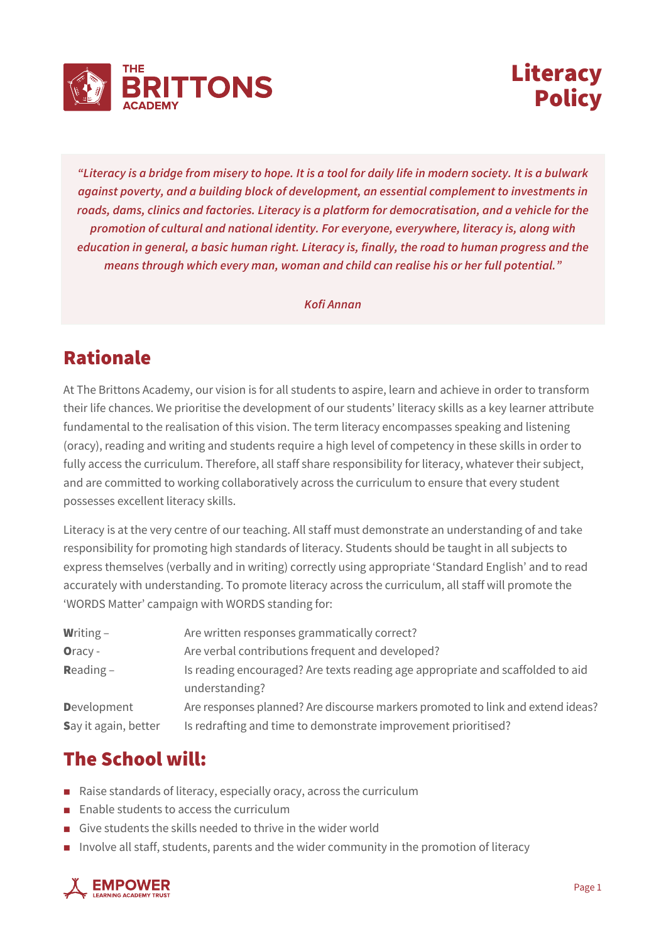



*"Literacy is a bridge from misery to hope. It is a tool for daily life in modern society. It is a bulwark against poverty, and a building block of development, an essential complement to investments in roads, dams, clinics and factories. Literacy is a platform for democratisation, and a vehicle for the promotion of cultural and national identity. For everyone, everywhere, literacy is, along with education in general, a basic human right. Literacy is, finally, the road to human progress and the means through which every man, woman and child can realise his or her full potential."*

*Kofi Annan*

## Rationale

At The Brittons Academy, our vision is for all students to aspire, learn and achieve in order to transform their life chances. We prioritise the development of our students' literacy skills as a key learner attribute fundamental to the realisation of this vision. The term literacy encompasses speaking and listening (oracy), reading and writing and students require a high level of competency in these skills in order to fully access the curriculum. Therefore, all staff share responsibility for literacy, whatever their subject, and are committed to working collaboratively across the curriculum to ensure that every student possesses excellent literacy skills.

Literacy is at the very centre of our teaching. All staff must demonstrate an understanding of and take responsibility for promoting high standards of literacy. Students should be taught in all subjects to express themselves (verbally and in writing) correctly using appropriate 'Standard English' and to read accurately with understanding. To promote literacy across the curriculum, all staff will promote the 'WORDS Matter' campaign with WORDS standing for:

| <b>Writing -</b>     | Are written responses grammatically correct?                                                     |
|----------------------|--------------------------------------------------------------------------------------------------|
| Oracy -              | Are verbal contributions frequent and developed?                                                 |
| <b>Reading –</b>     | Is reading encouraged? Are texts reading age appropriate and scaffolded to aid<br>understanding? |
| <b>D</b> evelopment  | Are responses planned? Are discourse markers promoted to link and extend ideas?                  |
| Say it again, better | Is redrafting and time to demonstrate improvement prioritised?                                   |

## The School will:

- $\blacksquare$  Raise standards of literacy, especially oracy, across the curriculum
- $\blacksquare$  Enable students to access the curriculum
- Give students the skills needed to thrive in the wider world
- n Involve all staff, students, parents and the wider community in the promotion of literacy

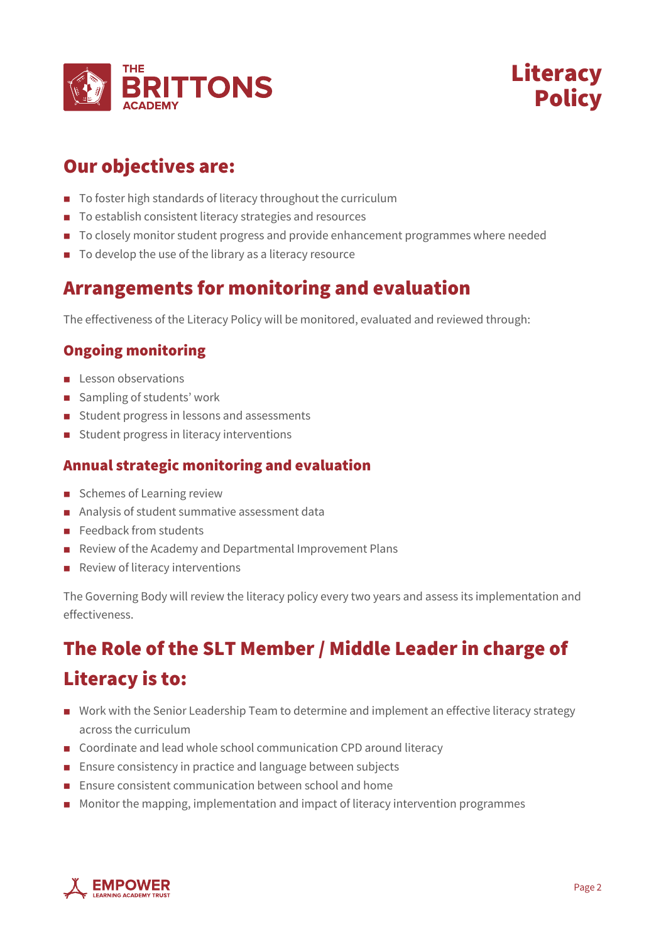



## Our objectives are:

- To foster high standards of literacy throughout the curriculum
- To establish consistent literacy strategies and resources
- To closely monitor student progress and provide enhancement programmes where needed
- $\blacksquare$  To develop the use of the library as a literacy resource

### Arrangements for monitoring and evaluation

The effectiveness of the Literacy Policy will be monitored, evaluated and reviewed through:

#### Ongoing monitoring

- n Lesson observations
- Sampling of students' work
- Student progress in lessons and assessments
- Student progress in literacy interventions

#### Annual strategic monitoring and evaluation

- Schemes of Learning review
- Analysis of student summative assessment data
- $\blacksquare$  Feedback from students
- n Review of the Academy and Departmental Improvement Plans
- $\blacksquare$  Review of literacy interventions

The Governing Body will review the literacy policy every two years and assess its implementation and effectiveness.

# The Role of the SLT Member / Middle Leader in charge of Literacy is to:

- n Work with the Senior Leadership Team to determine and implement an effective literacy strategy across the curriculum
- Coordinate and lead whole school communication CPD around literacy
- **n** Ensure consistency in practice and language between subjects
- **Ensure consistent communication between school and home**
- n Monitor the mapping, implementation and impact of literacy intervention programmes